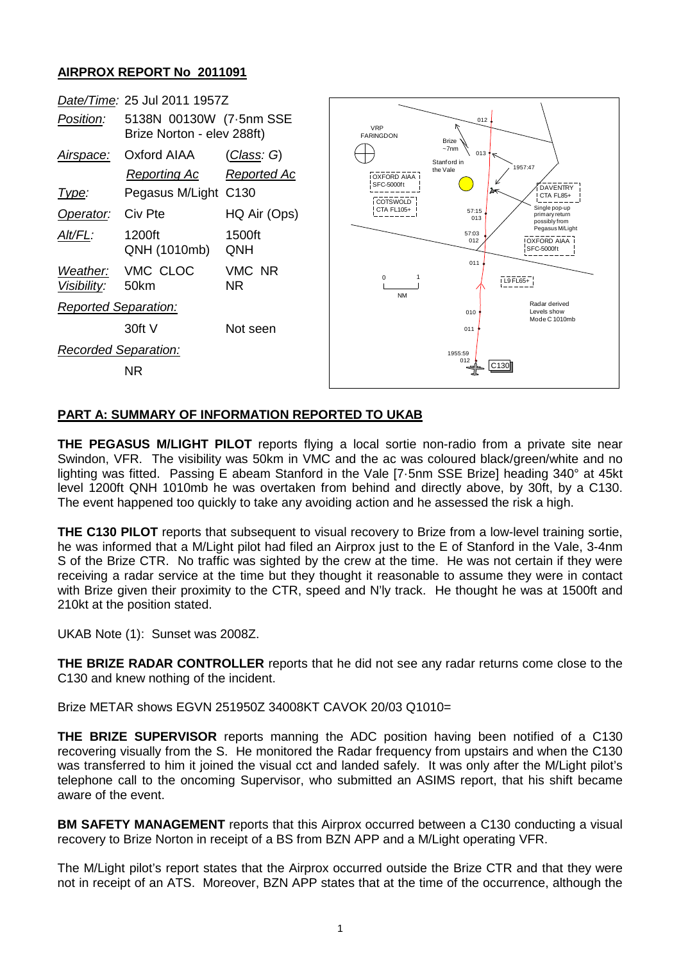## **AIRPROX REPORT No 2011091**



## **PART A: SUMMARY OF INFORMATION REPORTED TO UKAB**

**THE PEGASUS M/LIGHT PILOT** reports flying a local sortie non-radio from a private site near Swindon, VFR. The visibility was 50km in VMC and the ac was coloured black/green/white and no lighting was fitted. Passing E abeam Stanford in the Vale [7·5nm SSE Brize] heading 340° at 45kt level 1200ft QNH 1010mb he was overtaken from behind and directly above, by 30ft, by a C130. The event happened too quickly to take any avoiding action and he assessed the risk a high.

**THE C130 PILOT** reports that subsequent to visual recovery to Brize from a low-level training sortie, he was informed that a M/Light pilot had filed an Airprox just to the E of Stanford in the Vale, 3-4nm S of the Brize CTR. No traffic was sighted by the crew at the time. He was not certain if they were receiving a radar service at the time but they thought it reasonable to assume they were in contact with Brize given their proximity to the CTR, speed and N'ly track. He thought he was at 1500ft and 210kt at the position stated.

UKAB Note (1): Sunset was 2008Z.

**THE BRIZE RADAR CONTROLLER** reports that he did not see any radar returns come close to the C130 and knew nothing of the incident.

Brize METAR shows EGVN 251950Z 34008KT CAVOK 20/03 Q1010=

**THE BRIZE SUPERVISOR** reports manning the ADC position having been notified of a C130 recovering visually from the S. He monitored the Radar frequency from upstairs and when the C130 was transferred to him it joined the visual cct and landed safely. It was only after the M/Light pilot's telephone call to the oncoming Supervisor, who submitted an ASIMS report, that his shift became aware of the event.

**BM SAFETY MANAGEMENT** reports that this Airprox occurred between a C130 conducting a visual recovery to Brize Norton in receipt of a BS from BZN APP and a M/Light operating VFR.

The M/Light pilot's report states that the Airprox occurred outside the Brize CTR and that they were not in receipt of an ATS. Moreover, BZN APP states that at the time of the occurrence, although the